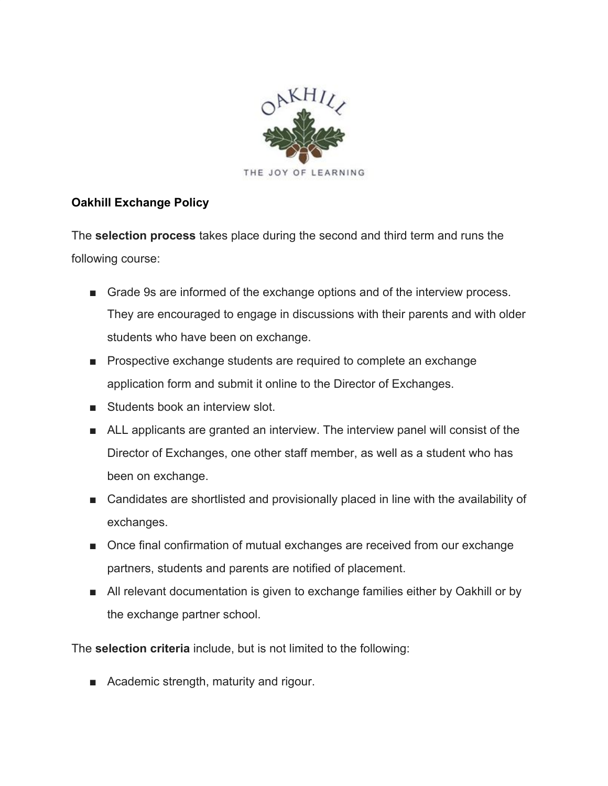

## **Oakhill Exchange Policy**

The **selection process** takes place during the second and third term and runs the following course:

- Grade 9s are informed of the exchange options and of the interview process. They are encouraged to engage in discussions with their parents and with older students who have been on exchange.
- Prospective exchange students are required to complete an exchange application form and submit it online to the Director of Exchanges.
- Students book an interview slot.
- ALL applicants are granted an interview. The interview panel will consist of the Director of Exchanges, one other staff member, as well as a student who has been on exchange.
- Candidates are shortlisted and provisionally placed in line with the availability of exchanges.
- Once final confirmation of mutual exchanges are received from our exchange partners, students and parents are notified of placement.
- All relevant documentation is given to exchange families either by Oakhill or by the exchange partner school.

The **selection criteria** include, but is not limited to the following:

■ Academic strength, maturity and rigour.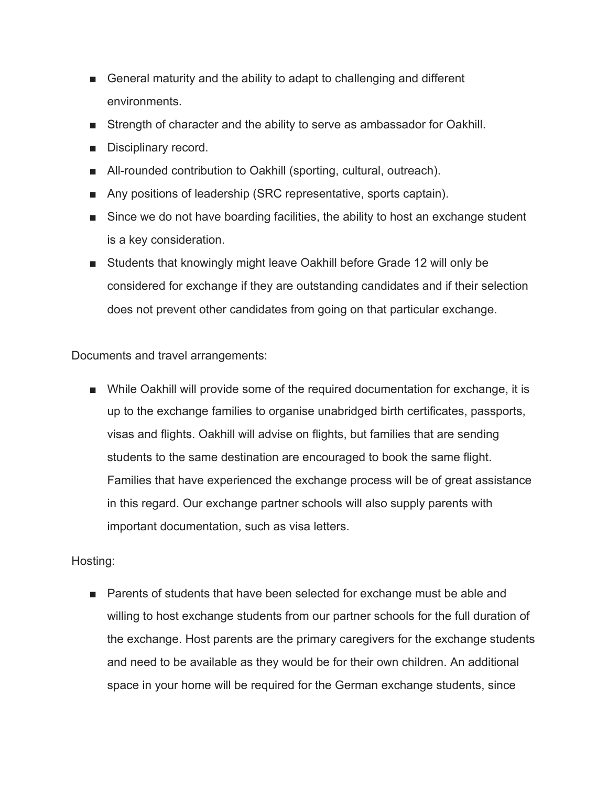- General maturity and the ability to adapt to challenging and different environments.
- Strength of character and the ability to serve as ambassador for Oakhill.
- Disciplinary record.
- All-rounded contribution to Oakhill (sporting, cultural, outreach).
- Any positions of leadership (SRC representative, sports captain).
- Since we do not have boarding facilities, the ability to host an exchange student is a key consideration.
- Students that knowingly might leave Oakhill before Grade 12 will only be considered for exchange if they are outstanding candidates and if their selection does not prevent other candidates from going on that particular exchange.

Documents and travel arrangements:

■ While Oakhill will provide some of the required documentation for exchange, it is up to the exchange families to organise unabridged birth certificates, passports, visas and flights. Oakhill will advise on flights, but families that are sending students to the same destination are encouraged to book the same flight. Families that have experienced the exchange process will be of great assistance in this regard. Our exchange partner schools will also supply parents with important documentation, such as visa letters.

## Hosting:

■ Parents of students that have been selected for exchange must be able and willing to host exchange students from our partner schools for the full duration of the exchange. Host parents are the primary caregivers for the exchange students and need to be available as they would be for their own children. An additional space in your home will be required for the German exchange students, since